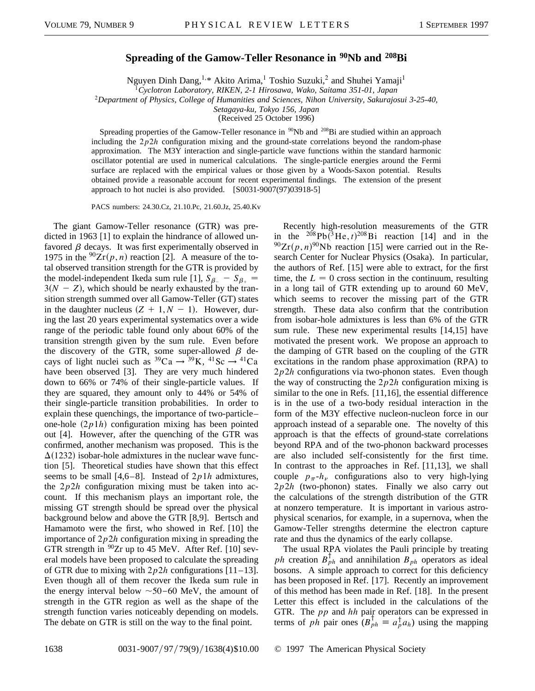## **Spreading of the Gamow-Teller Resonance in 90Nb and 208Bi**

Nguyen Dinh Dang,<sup>1,\*</sup> Akito Arima,<sup>1</sup> Toshio Suzuki,<sup>2</sup> and Shuhei Yamaji<sup>1</sup>

<sup>1</sup>*Cyclotron Laboratory, RIKEN, 2-1 Hirosawa, Wako, Saitama 351-01, Japan*

<sup>2</sup>*Department of Physics, College of Humanities and Sciences, Nihon University, Sakurajosui 3-25-40,*

*Setagaya-ku, Tokyo 156, Japan*

(Received 25 October 1996)

Spreading properties of the Gamow-Teller resonance in <sup>90</sup>Nb and <sup>208</sup>Bi are studied within an approach including the  $2p2h$  configuration mixing and the ground-state correlations beyond the random-phase approximation. The M3Y interaction and single-particle wave functions within the standard harmonic oscillator potential are used in numerical calculations. The single-particle energies around the Fermi surface are replaced with the empirical values or those given by a Woods-Saxon potential. Results obtained provide a reasonable account for recent experimental findings. The extension of the present approach to hot nuclei is also provided. [S0031-9007(97)03918-5]

PACS numbers: 24.30.Cz, 21.10.Pc, 21.60.Jz, 25.40.Kv

The giant Gamow-Teller resonance (GTR) was predicted in 1963 [1] to explain the hindrance of allowed unfavored  $\beta$  decays. It was first experimentally observed in 1975 in the  ${}^{90}Zr(p, n)$  reaction [2]. A measure of the total observed transition strength for the GTR is provided by the model-independent Ikeda sum rule [1],  $S_{\beta}$  -  $S_{\beta+}$  $3(N - Z)$ , which should be nearly exhausted by the transition strength summed over all Gamow-Teller (GT) states in the daughter nucleus  $(Z + 1, N - 1)$ . However, during the last 20 years experimental systematics over a wide range of the periodic table found only about 60% of the transition strength given by the sum rule. Even before the discovery of the GTR, some super-allowed  $\beta$  decays of light nuclei such as  ${}^{39}Ca \rightarrow {}^{39}K$ ,  ${}^{41}Sc \rightarrow {}^{41}Ca$ have been observed [3]. They are very much hindered down to 66% or 74% of their single-particle values. If they are squared, they amount only to 44% or 54% of their single-particle transition probabilities. In order to explain these quenchings, the importance of two-particle– one-hole  $(2p1h)$  configuration mixing has been pointed out [4]. However, after the quenching of the GTR was confirmed, another mechanism was proposed. This is the  $\Delta(1232)$  isobar-hole admixtures in the nuclear wave function [5]. Theoretical studies have shown that this effect seems to be small [4,6–8]. Instead of 2*p*1*h* admixtures, the 2*p*2*h* configuration mixing must be taken into account. If this mechanism plays an important role, the missing GT strength should be spread over the physical background below and above the GTR [8,9]. Bertsch and Hamamoto were the first, who showed in Ref. [10] the importance of 2*p*2*h* configuration mixing in spreading the GTR strength in  $^{90}Zr$  up to 45 MeV. After Ref. [10] several models have been proposed to calculate the spreading of GTR due to mixing with  $2p2h$  configurations  $[11-13]$ . Even though all of them recover the Ikeda sum rule in the energy interval below  $\sim$ 50–60 MeV, the amount of strength in the GTR region as well as the shape of the strength function varies noticeably depending on models. The debate on GTR is still on the way to the final point.

Recently high-resolution measurements of the GTR in the  $^{208}Pb(^{3}He, t)^{208}Bi$  reaction [14] and in the  $^{90}Zr(p, n)^{90}Nb$  reaction [15] were carried out in the Research Center for Nuclear Physics (Osaka). In particular, the authors of Ref. [15] were able to extract, for the first time, the  $L = 0$  cross section in the continuum, resulting in a long tail of GTR extending up to around 60 MeV, which seems to recover the missing part of the GTR strength. These data also confirm that the contribution from isobar-hole admixtures is less than 6% of the GTR sum rule. These new experimental results [14,15] have motivated the present work. We propose an approach to the damping of GTR based on the coupling of the GTR excitations in the random phase approximation (RPA) to 2*p*2*h* configurations via two-phonon states. Even though the way of constructing the 2*p*2*h* configuration mixing is similar to the one in Refs. [11,16], the essential difference is in the use of a two-body residual interaction in the form of the M3Y effective nucleon-nucleon force in our approach instead of a separable one. The novelty of this approach is that the effects of ground-state correlations beyond RPA and of the two-phonon backward processes are also included self-consistently for the first time. In contrast to the approaches in Ref. [11,13], we shall couple  $p_{\pi}$ - $h_{\nu}$  configurations also to very high-lying 2*p*2*h* (two-phonon) states. Finally we also carry out the calculations of the strength distribution of the GTR at nonzero temperature. It is important in various astrophysical scenarios, for example, in a supernova, when the Gamow-Teller strengths determine the electron capture rate and thus the dynamics of the early collapse.

The usual RPA violates the Pauli principle by treating *ph* creation  $B_{ph}^{\dagger}$  and annihilation  $B_{ph}$  operators as ideal bosons. A simple approach to correct for this deficiency has been proposed in Ref. [17]. Recently an improvement of this method has been made in Ref. [18]. In the present Letter this effect is included in the calculations of the GTR. The *pp* and *hh* pair operators can be expressed in terms of *ph* pair ones  $(B_{ph}^{\dagger} \equiv a_p^{\dagger} a_h)$  using the mapping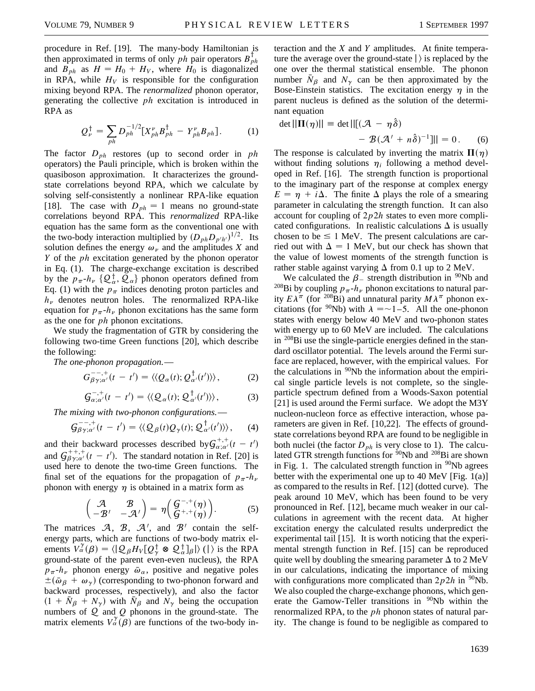procedure in Ref. [19]. The many-body Hamiltonian is then approximated in terms of only  $ph$  pair operators  $B_{ph}^{\dagger}$ and  $B_{ph}$  as  $H = H_0 + H_V$ , where  $H_0$  is diagonalized in RPA, while  $H_V$  is responsible for the configuration mixing beyond RPA. The *renormalized* phonon operator, generating the collective *ph* excitation is introduced in RPA as

$$
Q_{\nu}^{\dagger} = \sum_{ph} D_{ph}^{-1/2} [X_{ph}^{\nu} B_{ph}^{\dagger} - Y_{ph}^{\nu} B_{ph}]. \tag{1}
$$

The factor  $D_{ph}$  restores (up to second order in *ph* operators) the Pauli principle, which is broken within the quasiboson approximation. It characterizes the groundstate correlations beyond RPA, which we calculate by solving self-consistently a nonlinear RPA-like equation [18]. The case with  $D_{ph} = 1$  means no ground-state correlations beyond RPA. This *renormalized* RPA-like equation has the same form as the conventional one with the two-body interaction multiplied by  $(D_{ph}D_{p'h'})^{1/2}$ . Its solution defines the energy  $\omega_{\nu}$  and the amplitudes *X* and *Y* of the *ph* excitation generated by the phonon operator in Eq. (1). The charge-exchange excitation is described by the  $p_{\pi}$ - $h_{\nu}$  { $\mathcal{Q}_{\alpha}^{\dagger}$ ,  $\mathcal{Q}_{\alpha}$ } phonon operators defined from Eq. (1) with the  $p_{\pi}$  indices denoting proton particles and  $h_{\nu}$  denotes neutron holes. The renormalized RPA-like equation for  $p_{\pi}$ - $h_{\nu}$  phonon excitations has the same form as the one for *ph* phonon excitations.

We study the fragmentation of GTR by considering the following two-time Green functions [20], which describe the following:

*The one-phonon propagation.*—

$$
G_{\beta\gamma;\alpha'}^{-\,-,+}(t\,-\,t')=\langle\langle Q_{\alpha}(t);Q_{\alpha'}^{\,\dagger}(t')\rangle\rangle,\qquad\qquad(2)
$$

$$
\mathcal{G}_{\alpha;\alpha'}^{-,+}(t-t')=\langle\langle \mathcal{Q}_{\alpha}(t); \mathcal{Q}_{\alpha'}^{\dagger}(t')\rangle\rangle, \qquad (3)
$$

*The mixing with two-phonon configurations.*—

$$
\mathcal{G}_{\beta\gamma;\alpha'}^{-,-,+}(t-t')=\langle\langle \mathcal{Q}_{\beta}(t)\mathcal{Q}_{\gamma}(t); \mathcal{Q}_{\alpha'}^{\dagger}(t')\rangle\rangle, \quad (4)
$$

and their backward processes described by  $G_{\alpha;\alpha'}^{+,+}(t-t')$ and  $G_{\beta\gamma;\alpha'}^{+,+}(t-t')$ . The standard notation in Ref. [20] is used here to denote the two-time Green functions. The final set of the equations for the propagation of  $p_{\pi}$ - $h_{\nu}$ phonon with energy  $\eta$  is obtained in a matrix form as

$$
\begin{pmatrix}\n\mathcal{A} & \mathcal{B} \\
-\mathcal{B}' & -\mathcal{A}'\n\end{pmatrix} = \eta \begin{pmatrix}\nG^{-,+}(\eta) \\
G^{+,+}(\eta)\n\end{pmatrix}.
$$
\n(5)

The matrices  $\mathcal{A}$ ,  $\mathcal{B}$ ,  $\mathcal{A}'$ , and  $\mathcal{B}'$  contain the selfenergy parts, which are functions of two-body matrix elements  $V_{\alpha}^{\gamma}(\beta) = \langle | \mathcal{Q}_{\beta} H_{V} [Q_{\gamma}^{\dagger} \otimes \mathcal{Q}_{\alpha}^{\dagger}]_{\beta} | \rangle$  (|) is the RPA ground-state of the parent even-even nucleus), the RPA  $p_{\pi}$ - $h_{\nu}$  phonon energy  $\bar{\omega}_{\alpha}$ , positive and negative poles  $\pm (\bar{\omega}_\beta + \omega_\gamma)$  (corresponding to two-phonon forward and backward processes, respectively), and also the factor  $(1 + \bar{N}_{\beta} + N_{\gamma})$  with  $\bar{N}_{\beta}$  and  $N_{\gamma}$  being the occupation numbers of Q and *Q* phonons in the ground-state. The matrix elements  $V_{\alpha}^{\gamma}(\beta)$  are functions of the two-body interaction and the *X* and *Y* amplitudes. At finite temperature the average over the ground-state  $\vert$  is replaced by the one over the thermal statistical ensemble. The phonon number  $\bar{N}_\beta$  and  $N_\gamma$  can be then approximated by the Bose-Einstein statistics. The excitation energy  $\eta$  in the parent nucleus is defined as the solution of the determinant equation

$$
\det ||\Pi(\eta)|| = \det ||[(\mathcal{A} - \eta \hat{\delta})
$$

$$
- \mathcal{B}(\mathcal{A}' + n\hat{\delta})^{-1}|| = 0. \quad (6)
$$

The response is calculated by inverting the matrix  $\Pi(\eta)$ without finding solutions  $\eta_i$  following a method developed in Ref. [16]. The strength function is proportional to the imaginary part of the response at complex energy  $E = \eta + i\Delta$ . The finite  $\Delta$  plays the role of a smearing parameter in calculating the strength function. It can also account for coupling of 2*p*2*h* states to even more complicated configurations. In realistic calculations  $\Delta$  is usually chosen to be  $\leq 1$  MeV. The present calculations are carried out with  $\Delta = 1$  MeV, but our check has shown that the value of lowest moments of the strength function is rather stable against varying  $\Delta$  from 0.1 up to 2 MeV.

We calculated the  $\beta$  strength distribution in <sup>90</sup>Nb and <sup>208</sup>Bi by coupling  $p_{\pi}$ - $h_{\nu}$  phonon excitations to natural parity  $E\lambda^{\pi}$  (for <sup>208</sup>Bi) and unnatural parity  $M\lambda^{\pi}$  phonon excitations (for <sup>90</sup>Nb) with  $\lambda = -1 - 5$ . All the one-phonon states with energy below 40 MeV and two-phonon states with energy up to 60 MeV are included. The calculations in  $^{208}$ Bi use the single-particle energies defined in the standard oscillator potential. The levels around the Fermi surface are replaced, however, with the empirical values. For the calculations in  $90Nb$  the information about the empirical single particle levels is not complete, so the singleparticle spectrum defined from a Woods-Saxon potential [21] is used around the Fermi surface. We adopt the M3Y nucleon-nucleon force as effective interaction, whose parameters are given in Ref. [10,22]. The effects of groundstate correlations beyond RPA are found to be negligible in both nuclei (the factor  $D_{ph}$  is very close to 1). The calculated GTR strength functions for  $90Nb$  and  $208Bi$  are shown in Fig. 1. The calculated strength function in  $\rm{^{90}Nb}$  agrees better with the experimental one up to 40 MeV [Fig. 1(a)] as compared to the results in Ref. [12] (dotted curve). The peak around 10 MeV, which has been found to be very pronounced in Ref. [12], became much weaker in our calculations in agreement with the recent data. At higher excitation energy the calculated results underpredict the experimental tail [15]. It is worth noticing that the experimental strength function in Ref. [15] can be reproduced quite well by doubling the smearing parameter  $\Delta$  to 2 MeV in our calculations, indicating the importance of mixing with configurations more complicated than  $2p2h$  in <sup>90</sup>Nb. We also coupled the charge-exchange phonons, which generate the Gamow-Teller transitions in  $\frac{90}{90}$ Nb within the renormalized RPA, to the *ph* phonon states of natural parity. The change is found to be negligible as compared to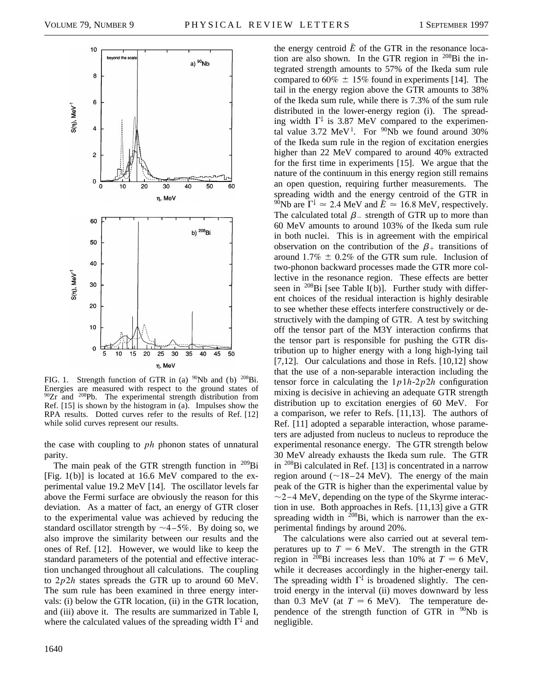

FIG. 1. Strength function of GTR in (a)  $^{90}Nb$  and (b)  $^{208}Bi$ . Energies are measured with respect to the ground states of <sup>90</sup>Zr and <sup>208</sup>Pb. The experimental strength distribution from Ref. [15] is shown by the histogram in (a). Impulses show the RPA results. Dotted curves refer to the results of Ref. [12] while solid curves represent our results.

the case with coupling to *ph* phonon states of unnatural parity.

The main peak of the GTR strength function in  $^{209}$ Bi [Fig.  $1(b)$ ] is located at 16.6 MeV compared to the experimental value 19.2 MeV [14]. The oscillator levels far above the Fermi surface are obviously the reason for this deviation. As a matter of fact, an energy of GTR closer to the experimental value was achieved by reducing the standard oscillator strength by  $\sim$  4-5%. By doing so, we also improve the similarity between our results and the ones of Ref. [12]. However, we would like to keep the standard parameters of the potential and effective interaction unchanged throughout all calculations. The coupling to 2*p*2*h* states spreads the GTR up to around 60 MeV. The sum rule has been examined in three energy intervals: (i) below the GTR location, (ii) in the GTR location, and (iii) above it. The results are summarized in Table I, where the calculated values of the spreading width  $\Gamma^{\downarrow}$  and

distributed in the lower-energy region (i). The spreading width  $\Gamma^{\downarrow}$  is 3.87 MeV compared to the experimental value  $3.72 \text{ MeV}^1$ . For <sup>90</sup>Nb we found around 30% of the Ikeda sum rule in the region of excitation energies higher than 22 MeV compared to around 40% extracted for the first time in experiments [15]. We argue that the nature of the continuum in this energy region still remains an open question, requiring further measurements. The spreading width and the energy centroid of the GTR in <sup>90</sup>Nb are  $\Gamma^{\downarrow} \simeq 2.4$  MeV and  $\bar{E} \simeq 16.8$  MeV, respectively. The calculated total  $\beta$  strength of GTR up to more than 60 MeV amounts to around 103% of the Ikeda sum rule in both nuclei. This is in agreement with the empirical observation on the contribution of the  $\beta_+$  transitions of around  $1.7\% \pm 0.2\%$  of the GTR sum rule. Inclusion of two-phonon backward processes made the GTR more collective in the resonance region. These effects are better seen in  $^{208}$ Bi [see Table I(b)]. Further study with different choices of the residual interaction is highly desirable to see whether these effects interfere constructively or destructively with the damping of GTR. A test by switching off the tensor part of the M3Y interaction confirms that the tensor part is responsible for pushing the GTR distribution up to higher energy with a long high-lying tail [7,12]. Our calculations and those in Refs. [10,12] show that the use of a non-separable interaction including the tensor force in calculating the 1*p*1*h*-2*p*2*h* configuration mixing is decisive in achieving an adequate GTR strength distribution up to excitation energies of 60 MeV. For a comparison, we refer to Refs. [11,13]. The authors of Ref. [11] adopted a separable interaction, whose parameters are adjusted from nucleus to nucleus to reproduce the experimental resonance energy. The GTR strength below 30 MeV already exhausts the Ikeda sum rule. The GTR in  $^{208}$ Bi calculated in Ref. [13] is concentrated in a narrow region around  $(\sim 18 - 24 \text{ MeV})$ . The energy of the main peak of the GTR is higher than the experimental value by  $\sim$ 2–4 MeV, depending on the type of the Skyrme interaction in use. Both approaches in Refs. [11,13] give a GTR spreading width in  $^{208}$ Bi, which is narrower than the experimental findings by around 20%. The calculations were also carried out at several tem-

the energy centroid  $\bar{E}$  of the GTR in the resonance location are also shown. In the GTR region in  $^{208}$ Bi the integrated strength amounts to 57% of the Ikeda sum rule compared to 60%  $\pm$  15% found in experiments [14]. The tail in the energy region above the GTR amounts to 38% of the Ikeda sum rule, while there is 7.3% of the sum rule

peratures up to  $T = 6$  MeV. The strength in the GTR region in <sup>208</sup>Bi increases less than 10% at  $T = 6$  MeV, while it decreases accordingly in the higher-energy tail. The spreading width  $\Gamma^{\downarrow}$  is broadened slightly. The centroid energy in the interval (ii) moves downward by less than 0.3 MeV (at  $T = 6$  MeV). The temperature dependence of the strength function of GTR in  $90Nb$  is negligible.